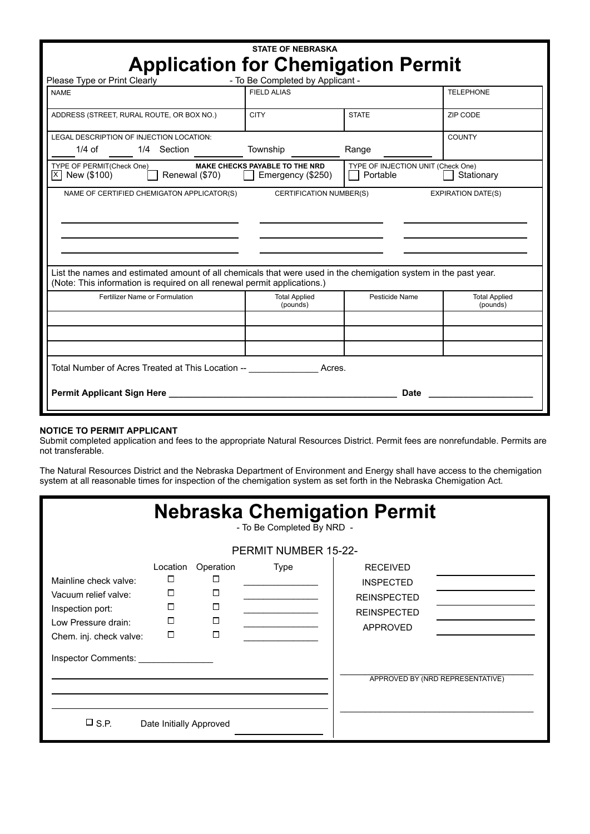|                                                                                                                                                                                             | <b>STATE OF NEBRASKA</b>                                       |                                                |                                  |  |  |  |  |
|---------------------------------------------------------------------------------------------------------------------------------------------------------------------------------------------|----------------------------------------------------------------|------------------------------------------------|----------------------------------|--|--|--|--|
| <b>Application for Chemigation Permit</b><br>- To Be Completed by Applicant -<br>Please Type or Print Clearly                                                                               |                                                                |                                                |                                  |  |  |  |  |
| <b>NAME</b>                                                                                                                                                                                 | <b>FIELD ALIAS</b>                                             |                                                | <b>TELEPHONE</b>                 |  |  |  |  |
| ADDRESS (STREET, RURAL ROUTE, OR BOX NO.)                                                                                                                                                   | <b>CITY</b>                                                    | <b>STATE</b>                                   | ZIP CODE                         |  |  |  |  |
| LEGAL DESCRIPTION OF INJECTION LOCATION:<br>$1/4$ of<br>1/4 Section                                                                                                                         | Township                                                       | Range                                          | <b>COUNTY</b>                    |  |  |  |  |
| TYPE OF PERMIT(Check One)<br> X   New (\$100)<br>Renewal (\$70)                                                                                                                             | <b>MAKE CHECKS PAYABLE TO THE NRD</b><br>  Emergency $(\$250)$ | TYPE OF INJECTION UNIT (Check One)<br>Portable | Stationary                       |  |  |  |  |
| NAME OF CERTIFIED CHEMIGATON APPLICATOR(S)                                                                                                                                                  | <b>CERTIFICATION NUMBER(S)</b>                                 |                                                | <b>EXPIRATION DATE(S)</b>        |  |  |  |  |
|                                                                                                                                                                                             |                                                                |                                                |                                  |  |  |  |  |
|                                                                                                                                                                                             |                                                                |                                                |                                  |  |  |  |  |
|                                                                                                                                                                                             |                                                                |                                                |                                  |  |  |  |  |
| List the names and estimated amount of all chemicals that were used in the chemigation system in the past year.<br>(Note: This information is required on all renewal permit applications.) |                                                                |                                                |                                  |  |  |  |  |
| Fertilizer Name or Formulation                                                                                                                                                              | <b>Total Applied</b><br>(pounds)                               | Pesticide Name                                 | <b>Total Applied</b><br>(pounds) |  |  |  |  |
|                                                                                                                                                                                             |                                                                |                                                |                                  |  |  |  |  |
|                                                                                                                                                                                             |                                                                |                                                |                                  |  |  |  |  |
| Total Number of Acres Treated at This Location -- Total Number of Acres.                                                                                                                    |                                                                |                                                |                                  |  |  |  |  |
|                                                                                                                                                                                             |                                                                | <b>Date</b>                                    |                                  |  |  |  |  |
|                                                                                                                                                                                             |                                                                |                                                |                                  |  |  |  |  |

## **NOTICE TO PERMIT APPLICANT**

Submit completed application and fees to the appropriate Natural Resources District. Permit fees are nonrefundable. Permits are not transferable.

The Natural Resources District and the Nebraska Department of Environment and Energy shall have access to the chemigation system at all reasonable times for inspection of the chemigation system as set forth in the Nebraska Chemigation Act.

| <b>Nebraska Chemigation Permit</b><br>- To Be Completed By NRD -<br><b>PERMIT NUMBER 15-22-</b>                                            |                                                  |                                                   |      |                                                                                                    |                                  |  |  |
|--------------------------------------------------------------------------------------------------------------------------------------------|--------------------------------------------------|---------------------------------------------------|------|----------------------------------------------------------------------------------------------------|----------------------------------|--|--|
| Mainline check valve:<br>Vacuum relief valve:<br>Inspection port:<br>Low Pressure drain:<br>Chem. inj. check valve:<br>Inspector Comments: | Location<br>$\Box$<br>□<br>$\Box$<br>□<br>$\Box$ | Operation<br>$\Box$<br>$\Box$<br>П<br>$\Box$<br>П | Type | <b>RECEIVED</b><br><b>INSPECTED</b><br><b>REINSPECTED</b><br><b>REINSPECTED</b><br><b>APPROVED</b> | APPROVED BY (NRD REPRESENTATIVE) |  |  |
| $\square$ S.P.                                                                                                                             | Date Initially Approved                          |                                                   |      |                                                                                                    |                                  |  |  |